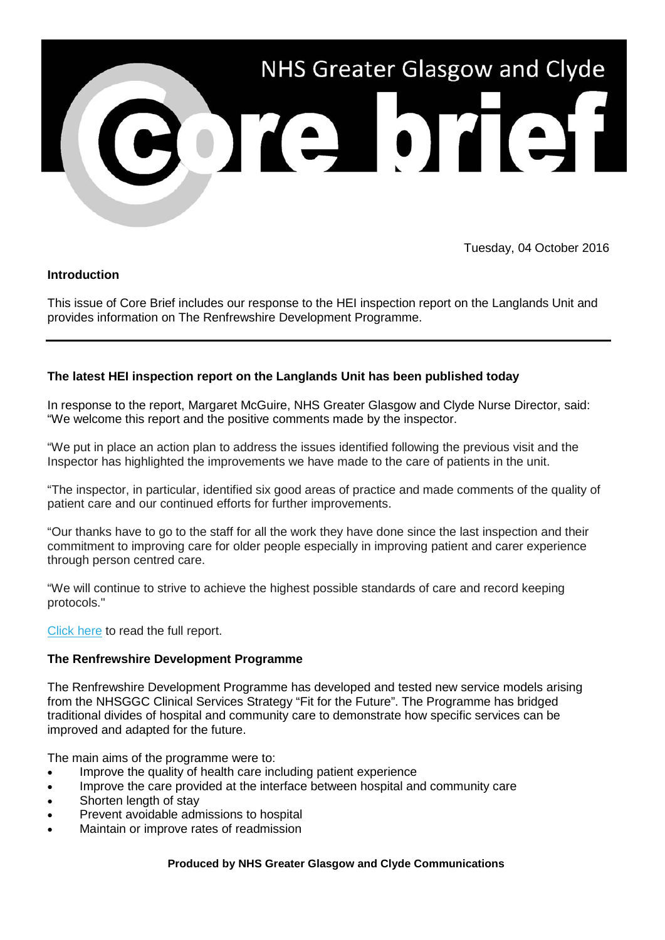

Tuesday, 04 October 2016

# **Introduction**

This issue of Core Brief includes our response to the HEI inspection report on the Langlands Unit and provides information on The Renfrewshire Development Programme.

# **The latest HEI inspection report on the Langlands Unit has been published today**

In response to the report, Margaret McGuire, NHS Greater Glasgow and Clyde Nurse Director, said: "We welcome this report and the positive comments made by the inspector.

"We put in place an action plan to address the issues identified following the previous visit and the Inspector has highlighted the improvements we have made to the care of patients in the unit.

"The inspector, in particular, identified six good areas of practice and made comments of the quality of patient care and our continued efforts for further improvements.

"Our thanks have to go to the staff for all the work they have done since the last inspection and their commitment to improving care for older people especially in improving patient and carer experience through person centred care.

"We will continue to strive to achieve the highest possible standards of care and record keeping protocols."

## [Click here](http://nhsggc.us12.list-manage2.com/track/click?u=0f385b5aea37eaf0213bd19fb&id=a095015591&e=5af5e1832c) to read the full report.

# **The Renfrewshire Development Programme**

The Renfrewshire Development Programme has developed and tested new service models arising from the NHSGGC Clinical Services Strategy "Fit for the Future". The Programme has bridged traditional divides of hospital and community care to demonstrate how specific services can be improved and adapted for the future.

The main aims of the programme were to:

- Improve the quality of health care including patient experience
- Improve the care provided at the interface between hospital and community care
- Shorten length of stay
- Prevent avoidable admissions to hospital
- Maintain or improve rates of readmission

## **Produced by NHS Greater Glasgow and Clyde Communications**